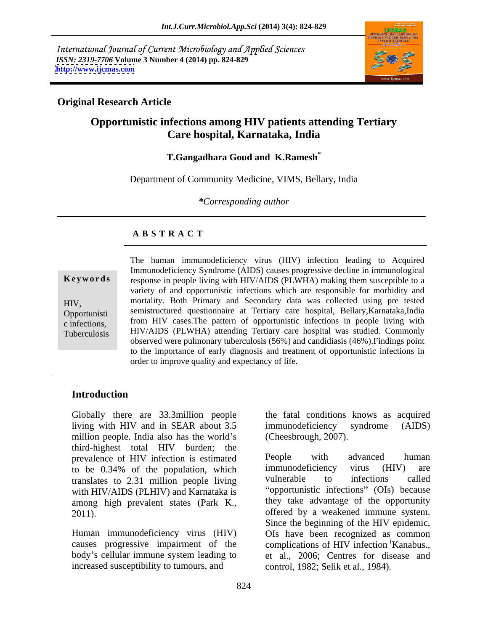International Journal of Current Microbiology and Applied Sciences *ISSN: 2319-7706* **Volume 3 Number 4 (2014) pp. 824-829 <http://www.ijcmas.com>**



## **Original Research Article**

# **Opportunistic infections among HIV patients attending Tertiary Care hospital, Karnataka, India**

### **T.Gangadhara Goud and K.Ramesh\***

Department of Community Medicine, VIMS, Bellary, India

*\*Corresponding author*

### **A B S T R A C T**

**Ke ywo rds** response in people living with HIV/AIDS (PLWHA) making them susceptible to a HIV, mortality. Both Primary and Secondary data was collected using pre tested Opportunisti semistructured questionnaire at Tertiary care hospital, Bellary,Karnataka,India c infections, from HIV cases. The pattern of opportunistic infections in people living with Tuberculosis HIV/AIDS (PLWHA) attending Tertiary care hospital was studied. Commonly The human immunodeficiency virus (HIV) infection leading to Acquired Immunodeficiency Syndrome (AIDS) causes progressive decline in immunological variety of and opportunistic infections which are responsible for morbidity and observed were pulmonary tuberculosis (56%) and candidiasis (46%).Findings point to the importance of early diagnosis and treatment of opportunistic infections in order to improve quality and expectancy of life.

## **Introduction**

Globally there are 33.3million people living with HIV and in SEAR about 3.5 million people. India also has the world's third-highest total HIV burden; the prevalence of HIV infection is estimated<br>to be 0.34% of the population which immunodeficiency virus (HIV) are translates to 2.31 million people living with HIV/AIDS (PLHIV) and Karnataka is

Human immunodeficiency virus (HIV) increased susceptibility to tumours, and

the fatal conditions knows as acquired immunodeficiency syndrome (AIDS) (Cheesbrough, 2007).

to be 0.34% of the population, which immunodeficiency virus (HIV) are among high prevalent states (Park K., they take advantage of the opportunity offered by a weakened immune system. causes progressive impairment of the complications of HIV infection Kanabus., body's cellular immune system leading to et al., 2006; Centres for disease and People with advanced human immunodeficiency virus (HIV) are vulnerable to infections called "opportunistic infections" (OIs) because they take advantage of the opportunity offered by a weakened immune system. Since the beginning of the HIV epidemic, OIs have been recognized as common (Kanabus., control, 1982; Selik et al., 1984).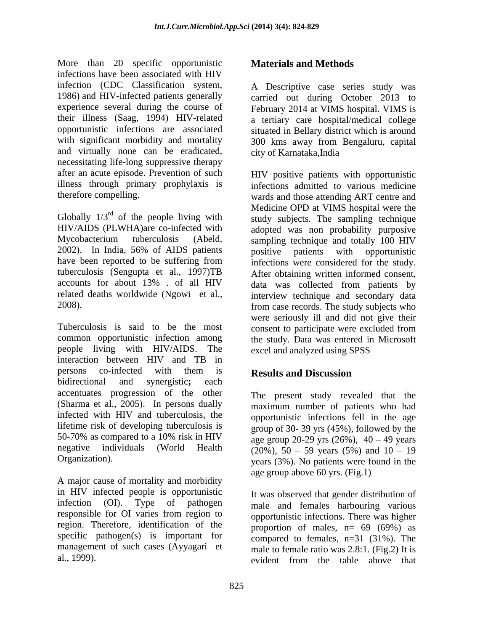More than 20 specific opportunistic **Materials and Methods** infections have been associated with HIV infection (CDC Classification system, A Descriptive case series study was<br>1986) and HIV-infected patients generally carried out during October 2013 to experience several during the course of February 2014 at VIMS hospital. VIMS is their illness (Saag, 1994) HIV-related a tertiary care hospital/medical college opportunistic infections are associated situated in Bellary district which is around with significant morbidity and mortality 300 kms away from Bengaluru, capital and virtually none can be eradicated, city of Karnataka, India necessitating life-long suppressive therapy after an acute episode. Prevention of such illness through primary prophylaxis is infections admitted to various medicine

Globally  $1/3^{rd}$  of the people living with study subjects. The sampling technique Globally  $1/3^{rd}$  of the people living with HIV/AIDS (PLWHA)are co-infected with Mycobacterium tuberculosis (Abeld, sampling technique and totally 100 HIV<br>2002). In India, 56% of AIDS patients positive patients with opportunistic have been reported to be suffering from infections were considered for the study. tuberculosis (Sengupta et al., 1997)TB accounts for about 13% . of all HIV data was collected from patients by related deaths worldwide (Ngowi et al., interview technique and secondary data

Tuberculosis is said to be the most consent to participate were excluded from common opportunistic infection among the study. Data was entered in Microsoft people living with HIV/AIDS. The interaction between HIV and TB in persons co-infected with them is **Results and Discussion** bidirectional and synergistic**;** each accentuates progression of the other (Sharma et al., 2005). In persons dually infected with HIV and tuberculosis, the lifetime risk of developing tuberculosis is 50-70% as compared to a 10% risk in HIV  $\qquad \qquad$  age group 20-29 yrs (26%), 40 – 49 years negative individuals (World Health  $(20\%)$ ,  $50 - 59$  years (5%) and  $10 - 19$ 

A major cause of mortality and morbidity in HIV infected people is opportunistic infection (OI). Type of pathogen male and females harbouring various responsible for OI varies from region to region. Therefore, identification of the specific pathogen(s) is important for  $\frac{1}{2}$  compared to females, n=31 (31%). The management of such cases (Ayyagari et

A Descriptive case series study was carried out during October 2013 to city of Karnataka,India

therefore compelling. wards and those attending ART centre and 2008). from case records. The study subjects who More than 20 specifies constrained and Methods Materials and Methods<br>
Interctions have been associated with HV<br>
interctions (CICC Clusterial orientation system). A Description case with<br>
interctions consider the considerat HIV positive patients with opportunistic Medicine OPD at VIMS hospital were the adopted was non probability purposive sampling technique and totally 100 HIV positive patients with opportunistic After obtaining written informed consent, were seriously ill and did not give their excel and analyzed using SPSS

# **Results and Discussion**

Organization). years (3%). No patients were found in the The present study revealed that the maximum number of patients who had opportunistic infections fell in the age group of 30- 39 yrs (45%), followed by the age group above 60 yrs. (Fig.1)

> It was observed that gender distribution of opportunistic infections. There was higher proportion of males,  $n= 69$  (69%) as male to female ratio was 2.8:1. (Fig.2) It is evident from the table above that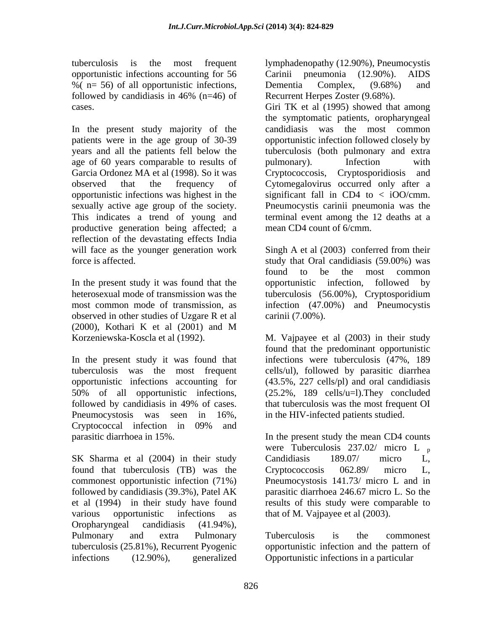opportunistic infections accounting for 56 % ( $n=56$ ) of all opportunistic infections, Dementia Complex, (9.68%) and

In the present study majority of the age of 60 years comparable to results of pulmonary). Infection with Garcia Ordonez MA et al (1998). So it was Cryptococcosis, Cryptosporidiosis and productive generation being affected; a reflection of the devastating effects India

In the present study it was found that the opportunistic infection, followed by heterosexual mode of transmission was the tuberculosis (56.00%), Cryptosporidium observed in other studies of Uzgare R et al (2000), Kothari K et al (2001) and M

In the present study it was found that tuberculosis was the most frequent cells/ul), followed by parasitic diarrhea opportunistic infections accounting for (43.5%, 227 cells/pl) and oral candidiasis 50% of all opportunistic infections, (25.2%, 189 cells/u=l).They concluded followed by candidiasis in 49% of cases. That tuberculosis was the most frequent OI Pneumocystosis was seen in 16%, in the HIV-infected patients studied. Cryptococcal infection in 09% and parasitic diarrhoea in 15%. In the present study the mean CD4 counts

SK Sharma et al (2004) in their study Candidiasis 189.07/ micro L, found that tuberculosis (TB) was the Cryptococcosis 062.89/ micro L, commonest opportunistic infection (71%) Pneumocystosis 141.73/ micro L and in followed by candidiasis (39.3%), Patel AK et al (1994) in their study have found results of this study were comparable to various opportunistic infections as that of M. Vajpayee et al (2003). Oropharyngeal candidiasis (41.94%), Pulmonary and extra Pulmonary Tuberculosis is the commonest tuberculosis (25.81%), Recurrent Pyogenic opportunistic infection and the pattern of infections (12.90%), generalized Opportunistic infections in a particular

tuberculosis is the most frequent lymphadenopathy (12.90%), Pneumocystis followed by candidiasis in 46%  $(n=46)$  of Recurrent Herpes Zoster  $(9.68\%)$ . Carinii pneumonia  $(12.90\%)$ . Dementia Complex, (9.68%) and Recurrent Herpes Zoster (9.68%).

cases. Giri TK et al (1995) showed that among patients were in the age group of 30-39 opportunistic infection followed closely by years and all the patients fell below the tuberculosis (both pulmonary and extra observed that the frequency of Cytomegalovirus occurred only after a opportunistic infections was highest in the significant fall in CD4 to < iOO/cmm. sexually active age group of the society. Pneumocystis carinii pneumonia was the This indicates a trend of young and terminal event among the 12 deaths at a the symptomatic patients, oropharyngeal candidiasis was the most common pulmonary). Infection with Cryptococcosis, Cryptosporidiosis mean CD4 count of 6/cmm.

will face as the younger generation work Singh A et al (2003) conferred from their force is affected. study that Oral candidiasis (59.00%) was most common mode of transmission, as infection (47.00%) and Pneumocystis found to be the most common opportunistic infection, followed by tuberculosis (56.00%), Cryptosporidium carinii (7.00%).

Korzeniewska-Koscla et al (1992). M. Vajpayee et al (2003) in their study found that the predominant opportunistic infections were tuberculosis (47%, 189 that tuberculosis was the most frequent OI

> were Tuberculosis  $237.02/$  micro L  $_p$ Candidiasis 189.07/ micro L, Cryptococcosis 062.89/ micro L, Pneumocystosis 141.73/ micro <sup>L</sup> and in parasitic diarrhoea 246.67 micro L. So the

Tuberculosis is the commonest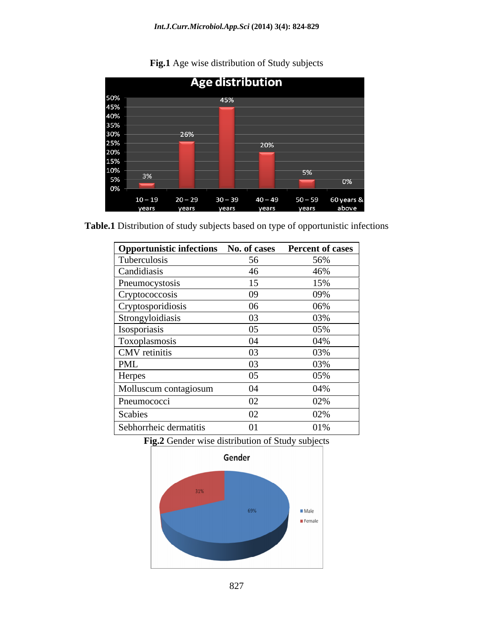

**Fig.1** Age wise distribution of Study subjects

**Table.1** Distribution of study subjects based on type of opportunistic infections

| Opportunistic infections No. of cases Percent of cases |                |     |
|--------------------------------------------------------|----------------|-----|
| Tuberculosis                                           | 56             | 56% |
| Candidiasis                                            |                | 46% |
| Pneumocystosis                                         |                | 15% |
| Cryptococcosis                                         | 09             | 09% |
| Cryptosporidiosis                                      | 06             | 06% |
| Strongyloidiasis                                       | 03             | 03% |
| Isosporiasis                                           | 05             | 05% |
| Toxoplasmosis                                          | 04             | 04% |
| CMV retinitis                                          | $\Omega$       | 03% |
| PML                                                    | 0 <sup>3</sup> | 03% |
| Herpes                                                 | 05             | 05% |
| Molluscum contagiosum                                  | 04             | 04% |
| Pneumococci                                            | 02             | 02% |
| Scabies                                                | $\Omega$       | 02% |
| Sebhorrheic dermatitis                                 | 01             | 01% |





827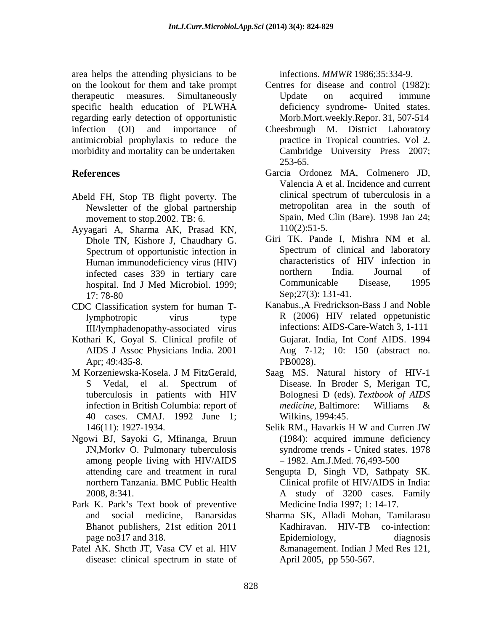area helps the attending physicians to be specific health education of PLWHA regarding early detection of opportunistic infection (OI) and importance of Cheesbrough M. District Laboratory antimicrobial prophylaxis to reduce the morbidity and mortality can be undertaken

- Newsletter of the global partnership movement to stop.2002. TB: 6. Spain, Med 9<br>vagari A. Sharma AK. Prasad KN. 110(2):51-5.
- Ayyagari A, Sharma AK, Prasad KN,  $110(2):51-5$ .<br>Dhole TN Kishore I Chaudhary G Giri TK. Pande I, Mishra NM et al. Dhole TN, Kishore J, Chaudhary G. Spectrum of opportunistic infection in hospital. Ind J Med Microbiol. 1999; Communicable Disease,  $17: 78-80$  Sep;  $27(3): 131-41$ .
- CDC Classification system for human T-III/lymphadenopathy-associated virus
- Kothari K, Goyal S. Clinical profile of Apr; 49:435-8. PB0028).
- M Korzeniewska-Kosela. J M FitzGerald, 40 cases. CMAJ. 1992 June 1;
- Ngowi BJ, Sayoki G, Mfinanga, Bruun JN,Morkv O. Pulmonary tuberculosis among people living with HIV/AIDS
- Park K. Park's Text book of preventive
- Patel AK. Shcth JT, Vasa CV et al. HIV

infections. *MMWR* 1986;35:334-9.

- on the lookout for them and take prompt Centres for disease and control (1982): therapeutic measures. Simultaneously Centres for disease and control (1982): Update on acquired immune deficiency syndrome- United states. Morb.Mort.weekly.Repor. 31, 507-514
	- practice in Tropical countries. Vol 2. Cambridge University Press 2007; 253-65.
- **References** Garcia Ordonez MA, Colmenero JD, Abeld FH, Stop TB flight poverty. The clinical spectrum of tuberculosis in a Valencia A et al. Incidence and current clinical spectrum of tuberculosis in a metropolitan area in the south of Spain, Med Clin (Bare). 1998 Jan 24; 110(2):51-5.
	- Human immunodeficiency virus (HIV) characteristics of HIV infection in<br>infected cases 339 in tertiary care in morthern India. Journal of infected cases 339 in tertiary care morthern India. Journal of hospital Ind I Med Microbiol 1999. Giri TK. Pande I, Mishra NM et al. Spectrum of clinical and laboratory characteristics of HIV infection in northern India. Journal of Communicable Disease, 1995 Sep; 27(3): 131-41.
	- lymphotropic virus type R (2006) HIV related oppetunistic Kanabus.,A Fredrickson-Bass J and Noble infections: AIDS-Care-Watch 3, 1-111 AIDS J Assoc Physicians India. 2001 Aug 7-12; 10: 150 (abstract no. Gujarat. India, Int Conf AIDS. 1994 PB0028).
	- S Vedal, el al. Spectrum of Disease. In Broder S, Merigan TC, tuberculosis in patients with HIV Bolognesi D (eds). Textbook of AIDS infection in British Columbia: report of *medicine*, Baltimore: Williams & Saag MS. Natural history of HIV-1 Disease. In Broder S, Merigan TC, Bolognesi D (eds). *Textbook of AIDS medicine,* Baltimore: Williams & Wilkins, 1994:45.
	- 146(11): 1927-1934. Selik RM., Havarkis H W and Curren JW Selik RM., Havarkis H W and Curren JW (1984): acquired immune deficiency syndrome trends - United states. 1978 1982. Am.J.Med. 76,493-500
	- attending care and treatment in rural Sengupta D, Singh VD, Sathpaty SK. northern Tanzania. BMC Public Health Clinical profile of HIV/AIDS in India: 2008, 8:341. A study of 3200 cases. Family Medicine India 1997; 1: 14-17.
	- and social medicine, Banarsidas Sharma SK, Alladi Mohan, Tamilarasu Bhanot publishers, 21st edition 2011 Kadhiravan. HIV-TB co-infection: page no 317 and 318. Epidemiology, diagnosis disease: clinical spectrum in state of April 2005, pp 550-567. Epidemiology, diagnosis &management. Indian J Med Res 121, April 2005, pp 550-567.